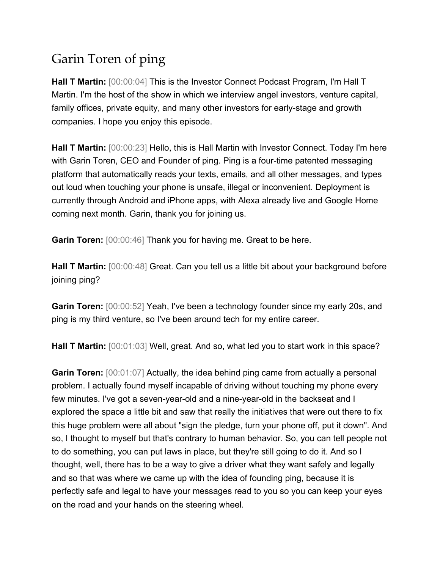## Garin Toren of ping

**Hall T Martin:** [00:00:04] This is the Investor Connect Podcast Program, I'm Hall T Martin. I'm the host of the show in which we interview angel investors, venture capital, family offices, private equity, and many other investors for early-stage and growth companies. I hope you enjoy this episode.

**Hall T Martin:** [00:00:23] Hello, this is Hall Martin with Investor Connect. Today I'm here with Garin Toren, CEO and Founder of ping. Ping is a four-time patented messaging platform that automatically reads your texts, emails, and all other messages, and types out loud when touching your phone is unsafe, illegal or inconvenient. Deployment is currently through Android and iPhone apps, with Alexa already live and Google Home coming next month. Garin, thank you for joining us.

**Garin Toren:** [00:00:46] Thank you for having me. Great to be here.

**Hall T Martin:** [00:00:48] Great. Can you tell us a little bit about your background before joining ping?

**Garin Toren:** [00:00:52] Yeah, I've been a technology founder since my early 20s, and ping is my third venture, so I've been around tech for my entire career.

**Hall T Martin:** [00:01:03] Well, great. And so, what led you to start work in this space?

**Garin Toren:** [00:01:07] Actually, the idea behind ping came from actually a personal problem. I actually found myself incapable of driving without touching my phone every few minutes. I've got a seven-year-old and a nine-year-old in the backseat and I explored the space a little bit and saw that really the initiatives that were out there to fix this huge problem were all about "sign the pledge, turn your phone off, put it down". And so, I thought to myself but that's contrary to human behavior. So, you can tell people not to do something, you can put laws in place, but they're still going to do it. And so I thought, well, there has to be a way to give a driver what they want safely and legally and so that was where we came up with the idea of founding ping, because it is perfectly safe and legal to have your messages read to you so you can keep your eyes on the road and your hands on the steering wheel.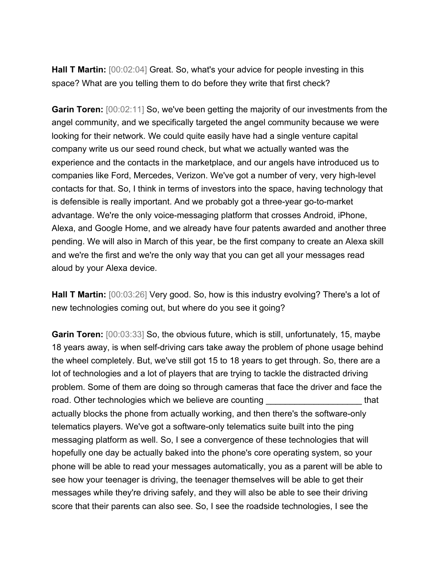**Hall T Martin:** [00:02:04] Great. So, what's your advice for people investing in this space? What are you telling them to do before they write that first check?

**Garin Toren:** [00:02:11] So, we've been getting the majority of our investments from the angel community, and we specifically targeted the angel community because we were looking for their network. We could quite easily have had a single venture capital company write us our seed round check, but what we actually wanted was the experience and the contacts in the marketplace, and our angels have introduced us to companies like Ford, Mercedes, Verizon. We've got a number of very, very high-level contacts for that. So, I think in terms of investors into the space, having technology that is defensible is really important. And we probably got a three-year go-to-market advantage. We're the only voice-messaging platform that crosses Android, iPhone, Alexa, and Google Home, and we already have four patents awarded and another three pending. We will also in March of this year, be the first company to create an Alexa skill and we're the first and we're the only way that you can get all your messages read aloud by your Alexa device.

**Hall T Martin:** [00:03:26] Very good. So, how is this industry evolving? There's a lot of new technologies coming out, but where do you see it going?

**Garin Toren:** [00:03:33] So, the obvious future, which is still, unfortunately, 15, maybe 18 years away, is when self-driving cars take away the problem of phone usage behind the wheel completely. But, we've still got 15 to 18 years to get through. So, there are a lot of technologies and a lot of players that are trying to tackle the distracted driving problem. Some of them are doing so through cameras that face the driver and face the road. Other technologies which we believe are counting the same state of that actually blocks the phone from actually working, and then there's the software-only telematics players. We've got a software-only telematics suite built into the ping messaging platform as well. So, I see a convergence of these technologies that will hopefully one day be actually baked into the phone's core operating system, so your phone will be able to read your messages automatically, you as a parent will be able to see how your teenager is driving, the teenager themselves will be able to get their messages while they're driving safely, and they will also be able to see their driving score that their parents can also see. So, I see the roadside technologies, I see the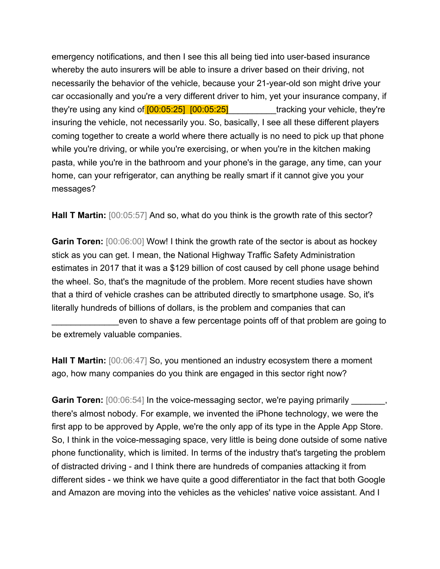emergency notifications, and then I see this all being tied into user-based insurance whereby the auto insurers will be able to insure a driver based on their driving, not necessarily the behavior of the vehicle, because your 21-year-old son might drive your car occasionally and you're a very different driver to him, yet your insurance company, if they're using any kind of  $[00:05:25]$   $[00:05:25]$  tracking your vehicle, they're insuring the vehicle, not necessarily you. So, basically, I see all these different players coming together to create a world where there actually is no need to pick up that phone while you're driving, or while you're exercising, or when you're in the kitchen making pasta, while you're in the bathroom and your phone's in the garage, any time, can your home, can your refrigerator, can anything be really smart if it cannot give you your messages?

Hall T Martin:  $[00:05:57]$  And so, what do you think is the growth rate of this sector?

**Garin Toren:** [00:06:00] Wow! I think the growth rate of the sector is about as hockey stick as you can get. I mean, the National Highway Traffic Safety Administration estimates in 2017 that it was a \$129 billion of cost caused by cell phone usage behind the wheel. So, that's the magnitude of the problem. More recent studies have shown that a third of vehicle crashes can be attributed directly to smartphone usage. So, it's literally hundreds of billions of dollars, is the problem and companies that can

even to shave a few percentage points off of that problem are going to be extremely valuable companies.

**Hall T Martin:** [00:06:47] So, you mentioned an industry ecosystem there a moment ago, how many companies do you think are engaged in this sector right now?

**Garin Toren:**  $[00:06:54]$  In the voice-messaging sector, we're paying primarily there's almost nobody. For example, we invented the iPhone technology, we were the first app to be approved by Apple, we're the only app of its type in the Apple App Store. So, I think in the voice-messaging space, very little is being done outside of some native phone functionality, which is limited. In terms of the industry that's targeting the problem of distracted driving - and I think there are hundreds of companies attacking it from different sides - we think we have quite a good differentiator in the fact that both Google and Amazon are moving into the vehicles as the vehicles' native voice assistant. And I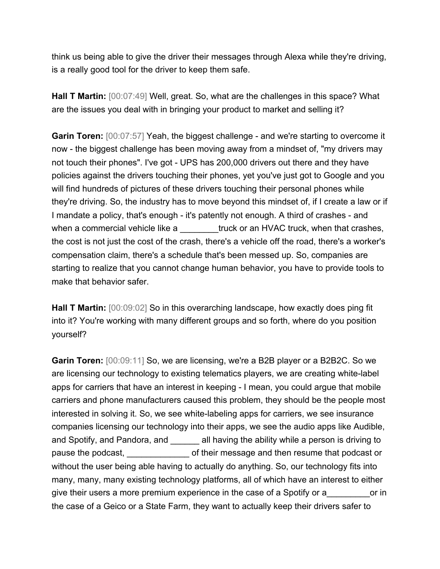think us being able to give the driver their messages through Alexa while they're driving, is a really good tool for the driver to keep them safe.

**Hall T Martin:** [00:07:49] Well, great. So, what are the challenges in this space? What are the issues you deal with in bringing your product to market and selling it?

**Garin Toren:** [00:07:57] Yeah, the biggest challenge - and we're starting to overcome it now - the biggest challenge has been moving away from a mindset of, "my drivers may not touch their phones". I've got - UPS has 200,000 drivers out there and they have policies against the drivers touching their phones, yet you've just got to Google and you will find hundreds of pictures of these drivers touching their personal phones while they're driving. So, the industry has to move beyond this mindset of, if I create a law or if I mandate a policy, that's enough - it's patently not enough. A third of crashes - and when a commercial vehicle like a struck or an HVAC truck, when that crashes, the cost is not just the cost of the crash, there's a vehicle off the road, there's a worker's compensation claim, there's a schedule that's been messed up. So, companies are starting to realize that you cannot change human behavior, you have to provide tools to make that behavior safer.

Hall T Martin:  $[00:09:02]$  So in this overarching landscape, how exactly does ping fit into it? You're working with many different groups and so forth, where do you position yourself?

**Garin Toren:** [00:09:11] So, we are licensing, we're a B2B player or a B2B2C. So we are licensing our technology to existing telematics players, we are creating white-label apps for carriers that have an interest in keeping - I mean, you could argue that mobile carriers and phone manufacturers caused this problem, they should be the people most interested in solving it. So, we see white-labeling apps for carriers, we see insurance companies licensing our technology into their apps, we see the audio apps like Audible, and Spotify, and Pandora, and **all having the ability while a person is driving to** pause the podcast, example in their message and then resume that podcast or without the user being able having to actually do anything. So, our technology fits into many, many, many existing technology platforms, all of which have an interest to either give their users a more premium experience in the case of a Spotify or a case or in the case of a Geico or a State Farm, they want to actually keep their drivers safer to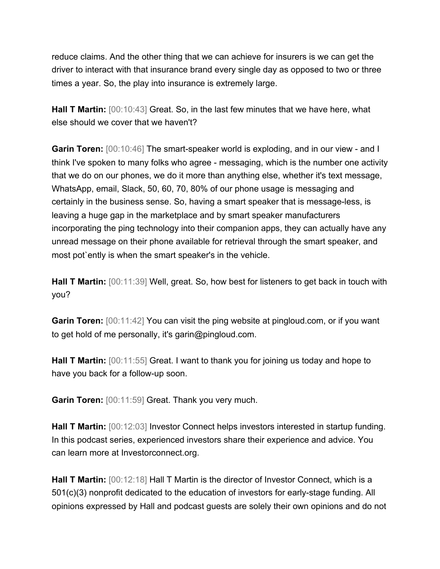reduce claims. And the other thing that we can achieve for insurers is we can get the driver to interact with that insurance brand every single day as opposed to two or three times a year. So, the play into insurance is extremely large.

**Hall T Martin:** [00:10:43] Great. So, in the last few minutes that we have here, what else should we cover that we haven't?

**Garin Toren:** [00:10:46] The smart-speaker world is exploding, and in our view - and I think I've spoken to many folks who agree - messaging, which is the number one activity that we do on our phones, we do it more than anything else, whether it's text message, WhatsApp, email, Slack, 50, 60, 70, 80% of our phone usage is messaging and certainly in the business sense. So, having a smart speaker that is message-less, is leaving a huge gap in the marketplace and by smart speaker manufacturers incorporating the ping technology into their companion apps, they can actually have any unread message on their phone available for retrieval through the smart speaker, and most pot`ently is when the smart speaker's in the vehicle.

**Hall T Martin:** [00:11:39] Well, great. So, how best for listeners to get back in touch with you?

**Garin Toren:** [00:11:42] You can visit the ping website at pingloud.com, or if you want to get hold of me personally, it's garin@pingloud.com.

**Hall T Martin:** [00:11:55] Great. I want to thank you for joining us today and hope to have you back for a follow-up soon.

**Garin Toren:** [00:11:59] Great. Thank you very much.

**Hall T Martin:** [00:12:03] Investor Connect helps investors interested in startup funding. In this podcast series, experienced investors share their experience and advice. You can learn more at Investorconnect.org.

**Hall T Martin:** [00:12:18] Hall T Martin is the director of Investor Connect, which is a 501(c)(3) nonprofit dedicated to the education of investors for early-stage funding. All opinions expressed by Hall and podcast guests are solely their own opinions and do not